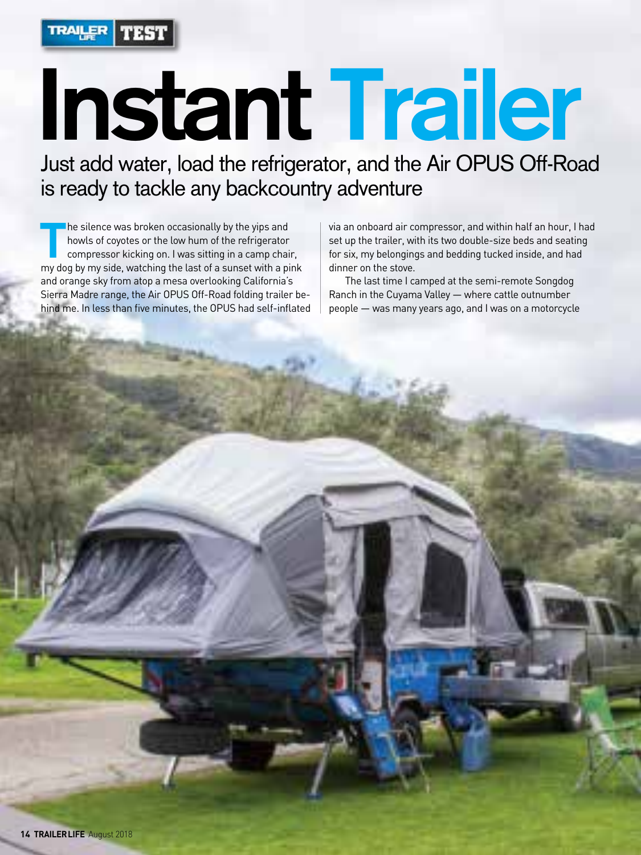

# **Instant Trailer**

Just add water, load the refrigerator, and the Air OPUS Off-Road is ready to tackle any backcountry adventure

The silence was broken occasionally by the yips and<br>howls of coyotes or the low hum of the refrigerator<br>compressor kicking on. I was sitting in a camp chair,<br>my dog by my side, watching the last of a sunset with a pink he silence was broken occasionally by the yips and howls of coyotes or the low hum of the refrigerator compressor kicking on. I was sitting in a camp chair, and orange sky from atop a mesa overlooking California's Sierra Madre range, the Air OPUS Off-Road folding trailer behind me. In less than five minutes, the OPUS had self-inflated

via an onboard air compressor, and within half an hour, I had set up the trailer, with its two double-size beds and seating for six, my belongings and bedding tucked inside, and had dinner on the stove.

The last time I camped at the semi-remote Songdog Ranch in the Cuyama Valley — where cattle outnumber people — was many years ago, and I was on a motorcycle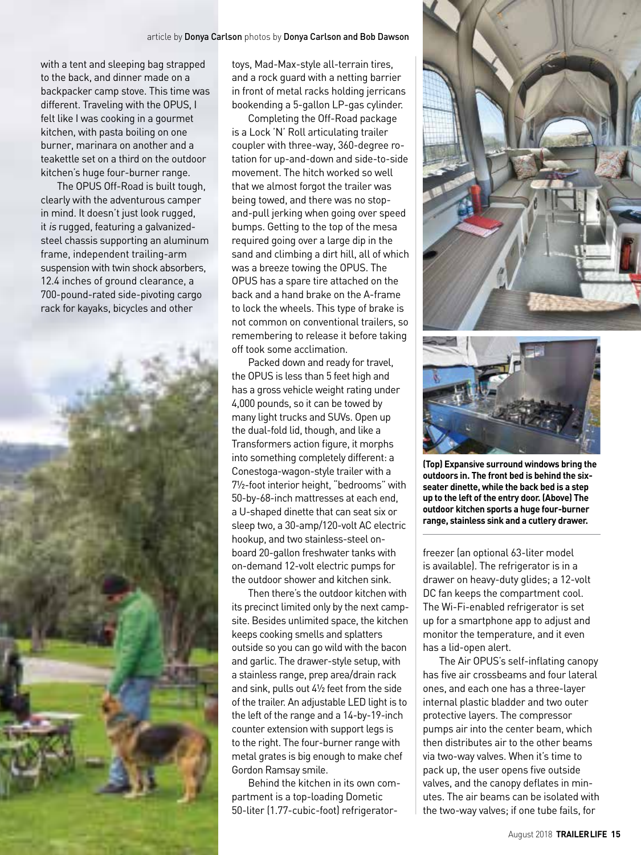with a tent and sleeping bag strapped to the back, and dinner made on a backpacker camp stove. This time was different. Traveling with the OPUS, I felt like I was cooking in a gourmet kitchen, with pasta boiling on one burner, marinara on another and a teakettle set on a third on the outdoor kitchen's huge four-burner range.

The OPUS Off-Road is built tough, clearly with the adventurous camper in mind. It doesn't just look rugged, it is rugged, featuring a galvanizedsteel chassis supporting an aluminum frame, independent trailing-arm suspension with twin shock absorbers, 12.4 inches of ground clearance, a 700-pound-rated side-pivoting cargo rack for kayaks, bicycles and other



toys, Mad-Max-style all-terrain tires, and a rock guard with a netting barrier in front of metal racks holding jerricans bookending a 5-gallon LP-gas cylinder.

Completing the Off-Road package is a Lock 'N' Roll articulating trailer coupler with three-way, 360-degree rotation for up-and-down and side-to-side movement. The hitch worked so well that we almost forgot the trailer was being towed, and there was no stopand-pull jerking when going over speed bumps. Getting to the top of the mesa required going over a large dip in the sand and climbing a dirt hill, all of which was a breeze towing the OPUS. The OPUS has a spare tire attached on the back and a hand brake on the A-frame to lock the wheels. This type of brake is not common on conventional trailers, so remembering to release it before taking off took some acclimation.

Packed down and ready for travel, the OPUS is less than 5 feet high and has a gross vehicle weight rating under 4,000 pounds, so it can be towed by many light trucks and SUVs. Open up the dual-fold lid, though, and like a Transformers action figure, it morphs into something completely different: a Conestoga-wagon-style trailer with a 7½-foot interior height, "bedrooms" with 50-by-68-inch mattresses at each end, a U-shaped dinette that can seat six or sleep two, a 30-amp/120-volt AC electric hookup, and two stainless-steel onboard 20-gallon freshwater tanks with on-demand 12-volt electric pumps for the outdoor shower and kitchen sink.

Then there's the outdoor kitchen with its precinct limited only by the next campsite. Besides unlimited space, the kitchen keeps cooking smells and splatters outside so you can go wild with the bacon and garlic. The drawer-style setup, with a stainless range, prep area/drain rack and sink, pulls out 4½ feet from the side of the trailer. An adjustable LED light is to the left of the range and a 14-by-19-inch counter extension with support legs is to the right. The four-burner range with metal grates is big enough to make chef Gordon Ramsay smile.

Behind the kitchen in its own compartment is a top-loading Dometic 50-liter (1.77-cubic-foot) refrigerator-





**(Top) Expansive surround windows bring the outdoors in. The front bed is behind the sixseater dinette, while the back bed is a step up to the left of the entry door. (Above) The outdoor kitchen sports a huge four-burner range, stainless sink and a cutlery drawer.**

freezer (an optional 63-liter model is available). The refrigerator is in a drawer on heavy-duty glides; a 12-volt DC fan keeps the compartment cool. The Wi-Fi-enabled refrigerator is set up for a smartphone app to adjust and monitor the temperature, and it even has a lid-open alert.

The Air OPUS's self-inflating canopy has five air crossbeams and four lateral ones, and each one has a three-layer internal plastic bladder and two outer protective layers. The compressor pumps air into the center beam, which then distributes air to the other beams via two-way valves. When it's time to pack up, the user opens five outside valves, and the canopy deflates in minutes. The air beams can be isolated with the two-way valves; if one tube fails, for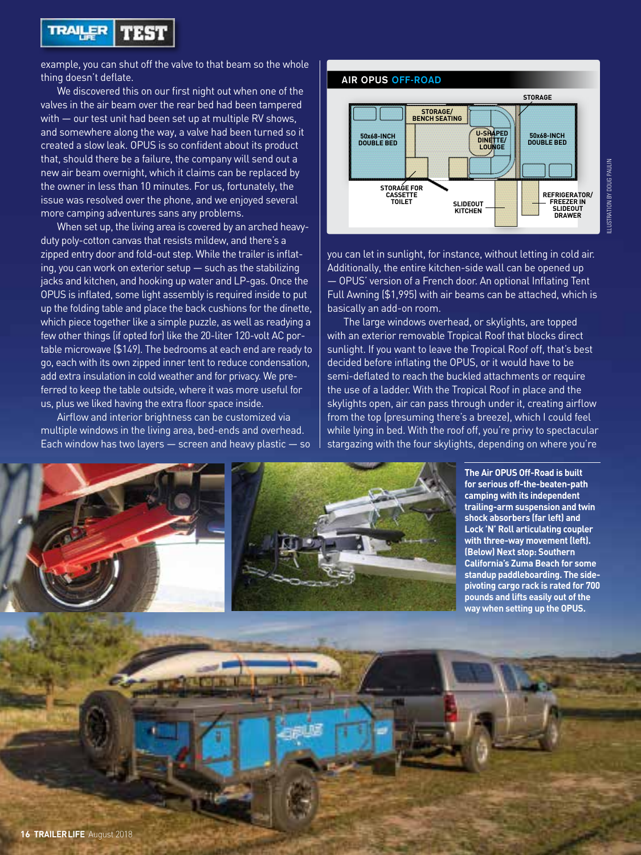

example, you can shut off the valve to that beam so the whole thing doesn't deflate.

We discovered this on our first night out when one of the valves in the air beam over the rear bed had been tampered with — our test unit had been set up at multiple RV shows, and somewhere along the way, a valve had been turned so it created a slow leak. OPUS is so confident about its product that, should there be a failure, the company will send out a new air beam overnight, which it claims can be replaced by the owner in less than 10 minutes. For us, fortunately, the issue was resolved over the phone, and we enjoyed several more camping adventures sans any problems.

When set up, the living area is covered by an arched heavyduty poly-cotton canvas that resists mildew, and there's a zipped entry door and fold-out step. While the trailer is inflating, you can work on exterior setup — such as the stabilizing jacks and kitchen, and hooking up water and LP-gas. Once the OPUS is inflated, some light assembly is required inside to put up the folding table and place the back cushions for the dinette, which piece together like a simple puzzle, as well as readying a few other things (if opted for) like the 20-liter 120-volt AC portable microwave (\$149). The bedrooms at each end are ready to go, each with its own zipped inner tent to reduce condensation, add extra insulation in cold weather and for privacy. We preferred to keep the table outside, where it was more useful for us, plus we liked having the extra floor space inside.

Airflow and interior brightness can be customized via multiple windows in the living area, bed-ends and overhead. Each window has two layers  $-$  screen and heavy plastic  $-$  so



you can let in sunlight, for instance, without letting in cold air. Additionally, the entire kitchen-side wall can be opened up — OPUS' version of a French door. An optional Inflating Tent Full Awning (\$1,995) with air beams can be attached, which is basically an add-on room.

The large windows overhead, or skylights, are topped with an exterior removable Tropical Roof that blocks direct sunlight. If you want to leave the Tropical Roof off, that's best decided before inflating the OPUS, or it would have to be semi-deflated to reach the buckled attachments or require the use of a ladder. With the Tropical Roof in place and the skylights open, air can pass through under it, creating airflow from the top (presuming there's a breeze), which I could feel while lying in bed. With the roof off, you're privy to spectacular stargazing with the four skylights, depending on where you're



**The Air OPUS Off-Road is built for serious off-the-beaten-path camping with its independent trailing-arm suspension and twin shock absorbers (far left) and Lock 'N' Roll articulating coupler with three-way movement (left). (Below) Next stop: Southern California's Zuma Beach for some standup paddleboarding. The sidepivoting cargo rack is rated for 700 pounds and lifts easily out of the way when setting up the OPUS.**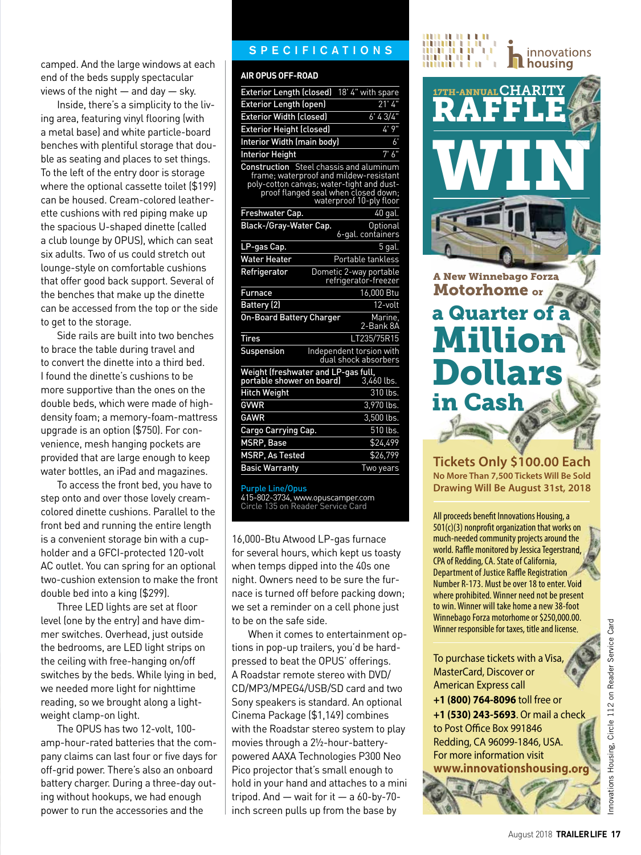To access the front bed, you have to step onto and over those lovely creamcolored dinette cushions. Parallel to the front bed and running the entire length is a convenient storage bin with a cupholder and a GFCI-protected 120-volt AC outlet. You can spring for an optional two-cushion extension to make the front double bed into a king (\$299).

Three LED lights are set at floor level (one by the entry) and have dimmer switches. Overhead, just outside the bedrooms, are LED light strips on the ceiling with free-hanging on/off switches by the beds. While lying in bed, we needed more light for nighttime reading, so we brought along a lightweight clamp-on light.

The OPUS has two 12-volt, 100 amp-hour-rated batteries that the company claims can last four or five days for off-grid power. There's also an onboard battery charger. During a three-day outing without hookups, we had enough power to run the accessories and the

#### **SPECIFICATIONS**

#### **AIR OPUS OFF-ROAD**

| camped. And the large windows at each      |                                                                                       | iiiiiiiii i n<br><b>THE LIBRARY PROPERTY</b> |
|--------------------------------------------|---------------------------------------------------------------------------------------|----------------------------------------------|
| end of the beds supply spectacular         | <b>AIR OPUS OFF-ROAD</b>                                                              |                                              |
| views of the night - and day - sky.        | Exterior Length (closed) 18' 4" with spare                                            | 17TH-ANNUAL CHARITY                          |
| Inside, there's a simplicity to the liv-   | 21'4"<br><b>Exterior Length (open)</b>                                                | <b>RAFF</b>                                  |
| ing area, featuring vinyl flooring (with   | 6' 43/4"<br>Exterior Width (closed)                                                   |                                              |
| a metal base) and white particle-board     | 4' 9"<br><b>Exterior Height (closed)</b>                                              |                                              |
| benches with plentiful storage that dou-   | $6^{\circ}$<br><b>Interior Width (main body)</b>                                      |                                              |
| ble as seating and places to set things.   | 7'6''<br><b>Interior Height</b>                                                       |                                              |
| To the left of the entry door is storage   | Construction Steel chassis and aluminum<br>frame; waterproof and mildew-resistant     |                                              |
| where the optional cassette toilet (\$199) | poly-cotton canvas; water-tight and dust-<br>proof flanged seal when closed down;     |                                              |
| can be housed. Cream-colored leather-      | waterproof 10-ply floor                                                               |                                              |
| ette cushions with red piping make up      | Freshwater Cap.<br>40 gal.                                                            |                                              |
| the spacious U-shaped dinette (called      | Black-/Gray-Water Cap.<br>Optional<br>6-gal. containers                               |                                              |
| a club lounge by OPUS), which can seat     | LP-gas Cap.<br>$5$ gal.                                                               |                                              |
| six adults. Two of us could stretch out    | <b>Water Heater</b><br>Portable tankless                                              |                                              |
| lounge-style on comfortable cushions       | Refrigerator<br>Dometic 2-way portable                                                |                                              |
| that offer good back support. Several of   | refrigerator-freezer                                                                  | <b>A New Winnebago Forza</b>                 |
| the benches that make up the dinette       | 16,000 Btu<br><b>Furnace</b>                                                          | Motorhome or                                 |
| can be accessed from the top or the side   | Battery (2)<br>12-volt                                                                | a Quarter of                                 |
| to get to the storage.                     | <b>On-Board Battery Charger</b><br>Marine,<br>2-Bank 8A                               |                                              |
| Side rails are built into two benches      | LT235/75R15<br><b>Tires</b>                                                           | <b>Million</b>                               |
| to brace the table during travel and       | Suspension<br>Independent torsion with                                                |                                              |
| to convert the dinette into a third bed.   | dual shock absorbers                                                                  |                                              |
| I found the dinette's cushions to be       | Weight (freshwater and LP-gas full,<br>portable shower on board) 3,46<br>$3,460$ lbs. | <b>Dollars</b>                               |
| more supportive than the ones on the       | <b>Hitch Weight</b><br>310 lbs.                                                       |                                              |
| double beds, which were made of high-      | GVWR<br>3,970 lbs.                                                                    | in Cash                                      |
| density foam; a memory-foam-mattress       | <b>GAWR</b><br>3,500 lbs.                                                             |                                              |
| upgrade is an option (\$750). For con-     | 510 lbs.<br>Cargo Carrying Cap.                                                       |                                              |
| venience, mesh hanging pockets are         | MSRP, Base<br>\$24,499                                                                |                                              |
| provided that are large enough to keep     | MSRP, As Tested<br>\$26,799                                                           | Tickets Only \$100.00                        |
| water bottles, an iPad and magazines.      | <b>Basic Warranty</b><br>Two years                                                    | $M = \ldots$ Then $\pi$ noo Tiebers Mill     |

Purple Line/Opus

415-802-3734, www.opuscamper.com Circle 135 on Reader Service Card

16,000-Btu Atwood LP-gas furnace for several hours, which kept us toasty when temps dipped into the 40s one night. Owners need to be sure the furnace is turned off before packing down; we set a reminder on a cell phone just to be on the safe side.

When it comes to entertainment options in pop-up trailers, you'd be hardpressed to beat the OPUS' offerings. A Roadstar remote stereo with DVD/ CD/MP3/MPEG4/USB/SD card and two Sony speakers is standard. An optional Cinema Package (\$1,149) combines with the Roadstar stereo system to play movies through a 2½-hour-batterypowered AAXA Technologies P300 Neo Pico projector that's small enough to hold in your hand and attaches to a mini tripod. And — wait for it — a 60-by-70 inch screen pulls up from the base by



innovations

## a Quarter of Millio Dollar in Cash A New Winnebago Forza F Motorhome or

**Tickets Only \$100.00 Each No More Than 7,500 Tickets Will Be Sold Drawing Will Be August 31st, 2018**

All proceeds benefit Innovations Housing, a  $501(c)(3)$  nonprofit organization that works on much-needed community projects around the world. Raffle monitored by Jessica Tegerstrand, CPA of Redding, CA. State of California, Department of Justice Raffle Registration Number R-173. Must be over 18 to enter. Void where prohibited. Winner need not be present to win. Winner will take home a new 38-foot Winnebago Forza motorhome or \$250,000.00. Winner responsible for taxes, title and license.

To purchase tickets with a Visa, MasterCard, Discover or American Express call

**+1 (800) 764-8096** toll free or **+1 (530) 243-5693**. Or mail a check to Post Office Box 991846 Redding, CA 96099-1846, USA. For more information visit **www.innovationshousing.org**